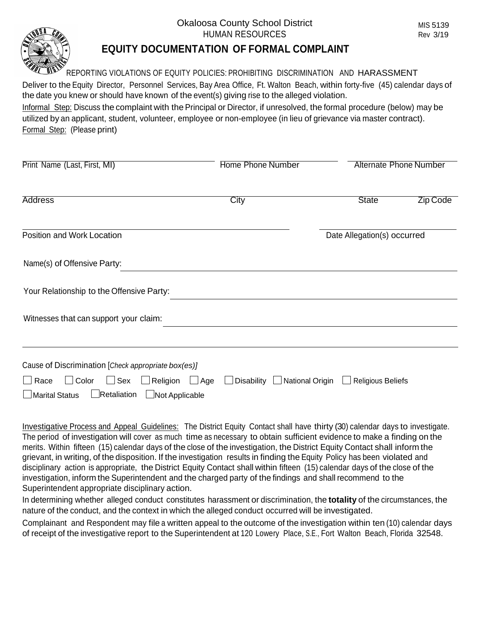## Okaloosa County School District HUMAN RESOURCES

MIS 5139 Rev 3/19



## **EQUITY DOCUMENTATION OF FORMAL COMPLAINT**

REPORTING VIOLATIONS OF EQUITY POLICIES: PROHIBITING DISCRIMINATION AND HARASSMENT

Deliver to the Equity Director, Personnel Services, Bay Area Office, Ft. Walton Beach, within forty-five (45) calendar days of the date you knew or should have known of the event(s) giving rise to the alleged violation.

Informal Step: Discuss the complaint with the Principal or Director, if unresolved, the formal procedure (below) may be utilized by an applicant, student, volunteer, employee or non-employee (in lieu of grievance via master contract). Formal Step: (Please print)

| Print Name (Last, First, MI)                                                                                                   | <b>Home Phone Number</b> | <b>Alternate Phone Number</b>                |                 |
|--------------------------------------------------------------------------------------------------------------------------------|--------------------------|----------------------------------------------|-----------------|
| <b>Address</b>                                                                                                                 | City                     | <b>State</b>                                 | <b>Zip Code</b> |
| Position and Work Location                                                                                                     |                          | Date Allegation(s) occurred                  |                 |
| Name(s) of Offensive Party:                                                                                                    |                          |                                              |                 |
| Your Relationship to the Offensive Party:                                                                                      |                          |                                              |                 |
| Witnesses that can support your claim:                                                                                         |                          |                                              |                 |
| Cause of Discrimination [Check appropriate box(es)]                                                                            |                          |                                              |                 |
| $\Box$ Race<br>$\Box$ Color<br>$\Box$ Sex $\Box$ Religion $\Box$ Age<br>Retaliation<br>$\Box$ Marital Status<br>Not Applicable | Disability $\lfloor$     | <b>△ National Origin</b> △ Religious Beliefs |                 |

Investigative Process and Appeal Guidelines: The District Equity Contact shall have thirty (30) calendar days to investigate. The period of investigation will cover as much time as necessary to obtain sufficient evidence to make a finding on the merits. Within fifteen (15) calendar days of the close of the investigation, the District Equity Contact shall inform the grievant, in writing, of the disposition. If the investigation results in finding the Equity Policy has been violated and disciplinary action is appropriate, the District Equity Contact shall within fifteen (15) calendar days of the close of the investigation, inform the Superintendent and the charged party of the findings and shall recommend to the Superintendent appropriate disciplinary action.

In determining whether alleged conduct constitutes harassment or discrimination, the **totality** of the circumstances, the nature of the conduct, and the context in which the alleged conduct occurred will be investigated.

Complainant and Respondent may file a written appeal to the outcome of the investigation within ten (10) calendar days of receipt of the investigative report to the Superintendent at 120 Lowery Place, S.E., Fort Walton Beach, Florida 32548.